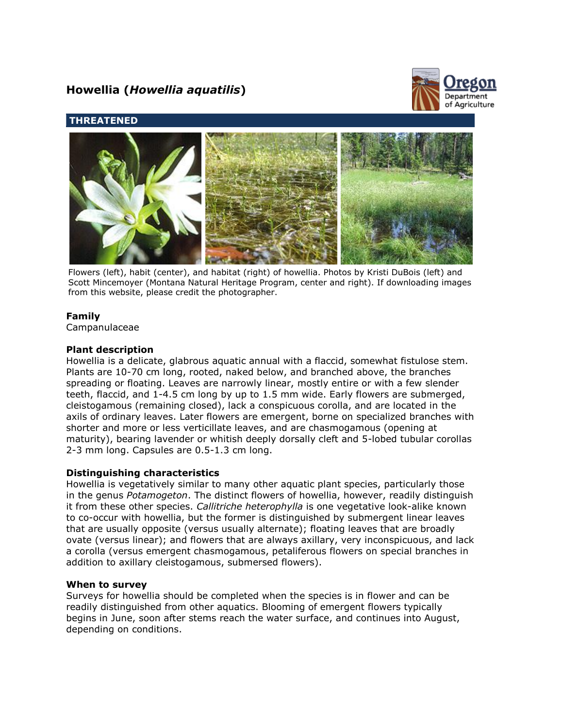# **Howellia (***Howellia aquatilis***)**



## **THREATENED**



Flowers (left), habit (center), and habitat (right) of howellia. Photos by Kristi DuBois (left) and Scott Mincemoyer (Montana Natural Heritage Program, center and right). If downloading images from this website, please credit the photographer.

## **Family**

Campanulaceae

## **Plant description**

Howellia is a delicate, glabrous aquatic annual with a flaccid, somewhat fistulose stem. Plants are 10-70 cm long, rooted, naked below, and branched above, the branches spreading or floating. Leaves are narrowly linear, mostly entire or with a few slender teeth, flaccid, and 1-4.5 cm long by up to 1.5 mm wide. Early flowers are submerged, cleistogamous (remaining closed), lack a conspicuous corolla, and are located in the axils of ordinary leaves. Later flowers are emergent, borne on specialized branches with shorter and more or less verticillate leaves, and are chasmogamous (opening at maturity), bearing lavender or whitish deeply dorsally cleft and 5-lobed tubular corollas 2-3 mm long. Capsules are 0.5-1.3 cm long.

#### **Distinguishing characteristics**

Howellia is vegetatively similar to many other aquatic plant species, particularly those in the genus *Potamogeton*. The distinct flowers of howellia, however, readily distinguish it from these other species. *Callitriche heterophylla* is one vegetative look-alike known to co-occur with howellia, but the former is distinguished by submergent linear leaves that are usually opposite (versus usually alternate); floating leaves that are broadly ovate (versus linear); and flowers that are always axillary, very inconspicuous, and lack a corolla (versus emergent chasmogamous, petaliferous flowers on special branches in addition to axillary cleistogamous, submersed flowers).

#### **When to survey**

Surveys for howellia should be completed when the species is in flower and can be readily distinguished from other aquatics. Blooming of emergent flowers typically begins in June, soon after stems reach the water surface, and continues into August, depending on conditions.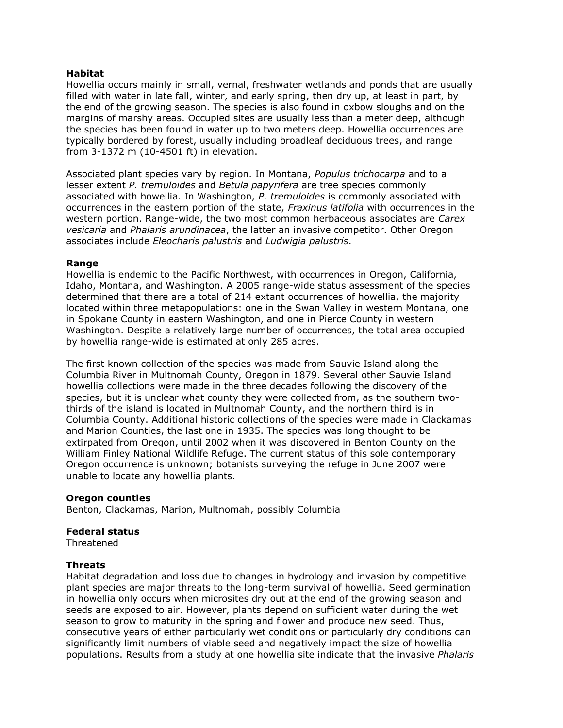## **Habitat**

Howellia occurs mainly in small, vernal, freshwater wetlands and ponds that are usually filled with water in late fall, winter, and early spring, then dry up, at least in part, by the end of the growing season. The species is also found in oxbow sloughs and on the margins of marshy areas. Occupied sites are usually less than a meter deep, although the species has been found in water up to two meters deep. Howellia occurrences are typically bordered by forest, usually including broadleaf deciduous trees, and range from 3-1372 m (10-4501 ft) in elevation.

Associated plant species vary by region. In Montana, *Populus trichocarpa* and to a lesser extent *P. tremuloides* and *Betula papyrifera* are tree species commonly associated with howellia. In Washington, *P. tremuloides* is commonly associated with occurrences in the eastern portion of the state, *Fraxinus latifolia* with occurrences in the western portion. Range-wide, the two most common herbaceous associates are *Carex vesicaria* and *Phalaris arundinacea*, the latter an invasive competitor. Other Oregon associates include *Eleocharis palustris* and *Ludwigia palustris*.

#### **Range**

Howellia is endemic to the Pacific Northwest, with occurrences in Oregon, California, Idaho, Montana, and Washington. A 2005 range-wide status assessment of the species determined that there are a total of 214 extant occurrences of howellia, the majority located within three metapopulations: one in the Swan Valley in western Montana, one in Spokane County in eastern Washington, and one in Pierce County in western Washington. Despite a relatively large number of occurrences, the total area occupied by howellia range-wide is estimated at only 285 acres.

The first known collection of the species was made from Sauvie Island along the Columbia River in Multnomah County, Oregon in 1879. Several other Sauvie Island howellia collections were made in the three decades following the discovery of the species, but it is unclear what county they were collected from, as the southern twothirds of the island is located in Multnomah County, and the northern third is in Columbia County. Additional historic collections of the species were made in Clackamas and Marion Counties, the last one in 1935. The species was long thought to be extirpated from Oregon, until 2002 when it was discovered in Benton County on the William Finley National Wildlife Refuge. The current status of this sole contemporary Oregon occurrence is unknown; botanists surveying the refuge in June 2007 were unable to locate any howellia plants.

#### **Oregon counties**

Benton, Clackamas, Marion, Multnomah, possibly Columbia

#### **Federal status**

**Threatened** 

## **Threats**

Habitat degradation and loss due to changes in hydrology and invasion by competitive plant species are major threats to the long-term survival of howellia. Seed germination in howellia only occurs when microsites dry out at the end of the growing season and seeds are exposed to air. However, plants depend on sufficient water during the wet season to grow to maturity in the spring and flower and produce new seed. Thus, consecutive years of either particularly wet conditions or particularly dry conditions can significantly limit numbers of viable seed and negatively impact the size of howellia populations. Results from a study at one howellia site indicate that the invasive *Phalaris*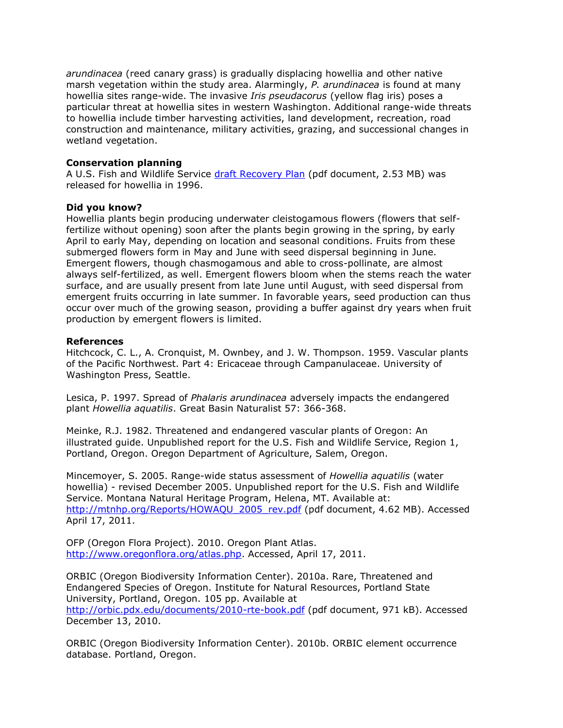*arundinacea* (reed canary grass) is gradually displacing howellia and other native marsh vegetation within the study area. Alarmingly, *P. arundinacea* is found at many howellia sites range-wide. The invasive *Iris pseudacorus* (yellow flag iris) poses a particular threat at howellia sites in western Washington. Additional range-wide threats to howellia include timber harvesting activities, land development, recreation, road construction and maintenance, military activities, grazing, and successional changes in wetland vegetation.

## **Conservation planning**

A U.S. Fish and Wildlife Service [draft Recovery Plan](http://ecos.fws.gov/docs/recovery_plan/960924.pdf) (pdf document, 2.53 MB) was released for howellia in 1996.

#### **Did you know?**

Howellia plants begin producing underwater cleistogamous flowers (flowers that selffertilize without opening) soon after the plants begin growing in the spring, by early April to early May, depending on location and seasonal conditions. Fruits from these submerged flowers form in May and June with seed dispersal beginning in June. Emergent flowers, though chasmogamous and able to cross-pollinate, are almost always self-fertilized, as well. Emergent flowers bloom when the stems reach the water surface, and are usually present from late June until August, with seed dispersal from emergent fruits occurring in late summer. In favorable years, seed production can thus occur over much of the growing season, providing a buffer against dry years when fruit production by emergent flowers is limited.

## **References**

Hitchcock, C. L., A. Cronquist, M. Ownbey, and J. W. Thompson. 1959. Vascular plants of the Pacific Northwest. Part 4: Ericaceae through Campanulaceae. University of Washington Press, Seattle.

Lesica, P. 1997. Spread of *Phalaris arundinacea* adversely impacts the endangered plant *Howellia aquatilis*. Great Basin Naturalist 57: 366-368.

Meinke, R.J. 1982. Threatened and endangered vascular plants of Oregon: An illustrated guide. Unpublished report for the U.S. Fish and Wildlife Service, Region 1, Portland, Oregon. Oregon Department of Agriculture, Salem, Oregon.

Mincemoyer, S. 2005. Range-wide status assessment of *Howellia aquatilis* (water howellia) - revised December 2005. Unpublished report for the U.S. Fish and Wildlife Service. Montana Natural Heritage Program, Helena, MT. Available at: [http://mtnhp.org/Reports/HOWAQU\\_2005\\_rev.pdf](http://mtnhp.org/Reports/HOWAQU_2005_rev.pdf) (pdf document, 4.62 MB). Accessed April 17, 2011.

OFP (Oregon Flora Project). 2010. Oregon Plant Atlas. [http://www.oregonflora.org/atlas.php.](http://www.oregonflora.org/atlas.php) Accessed, April 17, 2011.

ORBIC (Oregon Biodiversity Information Center). 2010a. Rare, Threatened and Endangered Species of Oregon. Institute for Natural Resources, Portland State University, Portland, Oregon. 105 pp. Available at <http://orbic.pdx.edu/documents/2010-rte-book.pdf> (pdf document, 971 kB). Accessed December 13, 2010.

ORBIC (Oregon Biodiversity Information Center). 2010b. ORBIC element occurrence database. Portland, Oregon.